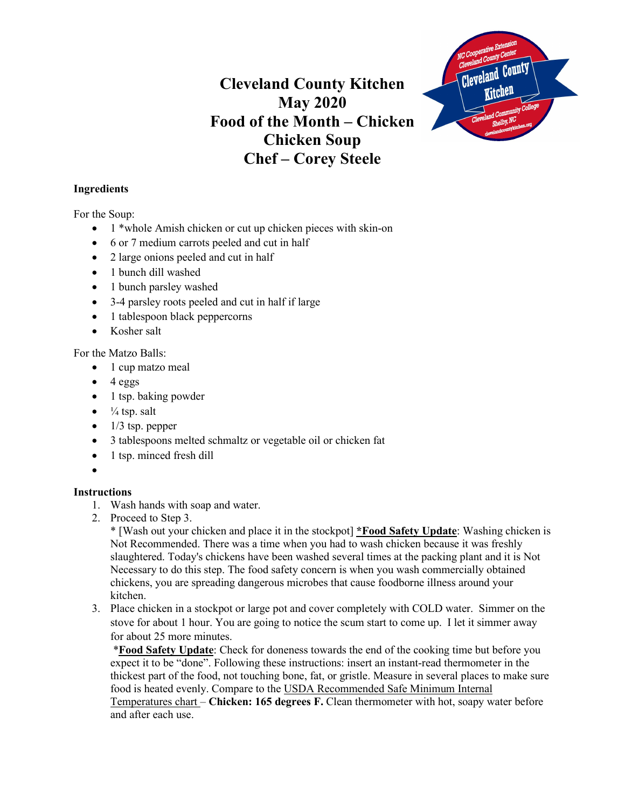## **Cleveland County Kitchen May 2020 Food of the Month – Chicken Chicken Soup Chef – Corey Steele**



## **Ingredients**

For the Soup:

- 1 \*whole Amish chicken or cut up chicken pieces with skin-on
- 6 or 7 medium carrots peeled and cut in half
- 2 large onions peeled and cut in half
- 1 bunch dill washed
- 1 bunch parsley washed
- 3-4 parsley roots peeled and cut in half if large
- 1 tablespoon black peppercorns
- Kosher salt

For the Matzo Balls:

- 1 cup matzo meal
- $\bullet$  4 eggs
- 1 tsp. baking powder
- $\bullet$   $\frac{1}{4}$  tsp. salt
- $\bullet$  1/3 tsp. pepper
- 3 tablespoons melted schmaltz or vegetable oil or chicken fat
- 1 tsp. minced fresh dill
- •

## **Instructions**

- 1. Wash hands with soap and water.
- 2. Proceed to Step 3.

\* [Wash out your chicken and place it in the stockpot] **\*Food Safety Update**: Washing chicken is Not Recommended. There was a time when you had to wash chicken because it was freshly slaughtered. Today's chickens have been washed several times at the packing plant and it is Not Necessary to do this step. The food safety concern is when you wash commercially obtained chickens, you are spreading dangerous microbes that cause foodborne illness around your kitchen.

3. Place chicken in a stockpot or large pot and cover completely with COLD water. Simmer on the stove for about 1 hour. You are going to notice the scum start to come up. I let it simmer away for about 25 more minutes.

\***Food Safety Update**: Check for doneness towards the end of the cooking time but before you expect it to be "done". Following these instructions: insert an instant-read thermometer in the thickest part of the food, not touching bone, fat, or gristle. Measure in several places to make sure food is heated evenly. Compare to the USDA Recommended Safe Minimum Internal Temperatures chart – **Chicken: 165 degrees F.** Clean thermometer with hot, soapy water before and after each use.